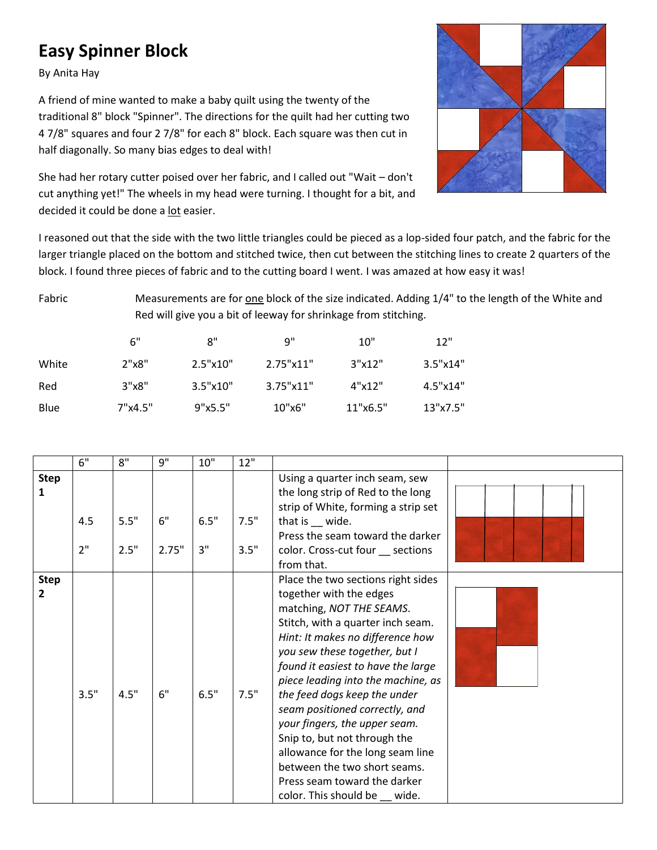## **Easy Spinner Block**

By Anita Hay

A friend of mine wanted to make a baby quilt using the twenty of the traditional 8" block "Spinner". The directions for the quilt had her cutting two 4 7/8" squares and four 2 7/8" for each 8" block. Each square was then cut in half diagonally. So many bias edges to deal with!

She had her rotary cutter poised over her fabric, and I called out "Wait – don't cut anything yet!" The wheels in my head were turning. I thought for a bit, and decided it could be done a lot easier.



I reasoned out that the side with the two little triangles could be pieced as a lop-sided four patch, and the fabric for the larger triangle placed on the bottom and stitched twice, then cut between the stitching lines to create 2 quarters of the block. I found three pieces of fabric and to the cutting board I went. I was amazed at how easy it was!

Fabric Measurements are for one block of the size indicated. Adding 1/4" to the length of the White and Red will give you a bit of leeway for shrinkage from stitching.

|       | 6"      | 8"       | q"        | 10"      | 12"      |
|-------|---------|----------|-----------|----------|----------|
| White | 2"x8"   | 2.5"x10" | 2.75"x11" | 3"x12"   | 3.5"x14" |
| Red   | 3"x8"   | 3.5"x10" | 3.75"x11" | 4"x12"   | 4.5"x14" |
| Blue  | 7"x4.5" | 9"x5.5"  | 10"x6"    | 11"x6.5" | 13"x7.5" |

|             | 6"   | 8"   | 9"    | 10"  | 12"  |                                     |  |
|-------------|------|------|-------|------|------|-------------------------------------|--|
| <b>Step</b> |      |      |       |      |      | Using a quarter inch seam, sew      |  |
| 1           |      |      |       |      |      | the long strip of Red to the long   |  |
|             |      |      |       |      |      | strip of White, forming a strip set |  |
|             | 4.5  | 5.5" | 6"    | 6.5" | 7.5" | that is __ wide.                    |  |
|             |      |      |       |      |      | Press the seam toward the darker    |  |
|             | 2"   | 2.5" | 2.75" | 3"   | 3.5" | color. Cross-cut four __ sections   |  |
|             |      |      |       |      |      | from that.                          |  |
| <b>Step</b> |      |      |       |      |      | Place the two sections right sides  |  |
| 2           |      |      |       |      |      | together with the edges             |  |
|             |      |      |       |      |      | matching, NOT THE SEAMS.            |  |
|             |      |      |       |      |      | Stitch, with a quarter inch seam.   |  |
|             |      |      |       |      |      | Hint: It makes no difference how    |  |
|             |      |      |       |      |      | you sew these together, but I       |  |
|             |      |      |       |      |      | found it easiest to have the large  |  |
|             |      |      |       |      |      | piece leading into the machine, as  |  |
|             | 3.5" | 4.5" | 6"    | 6.5" | 7.5" | the feed dogs keep the under        |  |
|             |      |      |       |      |      | seam positioned correctly, and      |  |
|             |      |      |       |      |      | your fingers, the upper seam.       |  |
|             |      |      |       |      |      | Snip to, but not through the        |  |
|             |      |      |       |      |      | allowance for the long seam line    |  |
|             |      |      |       |      |      | between the two short seams.        |  |
|             |      |      |       |      |      | Press seam toward the darker        |  |
|             |      |      |       |      |      | color. This should be wide.         |  |